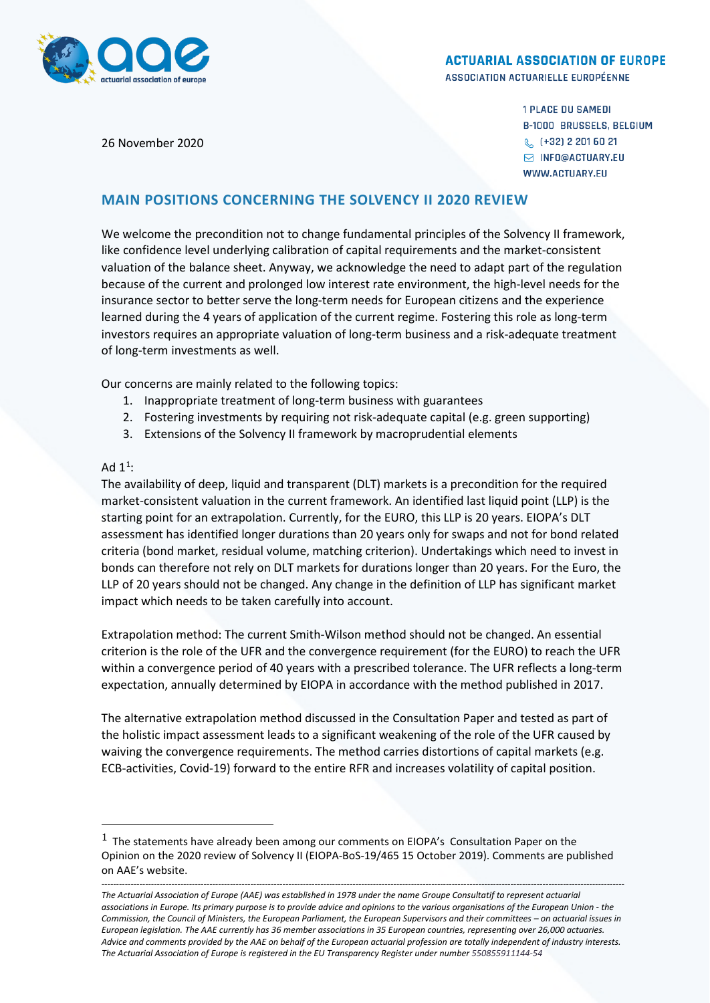

#### **ACTUARIAL ASSOCIATION OF EUROPE**

ASSOCIATION ACTUARIELLE EUROPÉENNE

26 November 2020

**1 PLACE DU SAMEDI B-1000 BRUSSELS, BELGIUM** & (+32) 2 201 60 21 **S INFO@ACTUARY.EU** WWW.ACTUARY.EU

# **MAIN POSITIONS CONCERNING THE SOLVENCY II 2020 REVIEW**

We welcome the precondition not to change fundamental principles of the Solvency II framework, like confidence level underlying calibration of capital requirements and the market-consistent valuation of the balance sheet. Anyway, we acknowledge the need to adapt part of the regulation because of the current and prolonged low interest rate environment, the high-level needs for the insurance sector to better serve the long-term needs for European citizens and the experience learned during the 4 years of application of the current regime. Fostering this role as long-term investors requires an appropriate valuation of long-term business and a risk-adequate treatment of long-term investments as well.

Our concerns are mainly related to the following topics:

- 1. Inappropriate treatment of long-term business with guarantees
- 2. Fostering investments by requiring not risk-adequate capital (e.g. green supporting)
- 3. Extensions of the Solvency II framework by macroprudential elements

### Ad  $1^1$  $1^1$ :

l

The availability of deep, liquid and transparent (DLT) markets is a precondition for the required market-consistent valuation in the current framework. An identified last liquid point (LLP) is the starting point for an extrapolation. Currently, for the EURO, this LLP is 20 years. EIOPA's DLT assessment has identified longer durations than 20 years only for swaps and not for bond related criteria (bond market, residual volume, matching criterion). Undertakings which need to invest in bonds can therefore not rely on DLT markets for durations longer than 20 years. For the Euro, the LLP of 20 years should not be changed. Any change in the definition of LLP has significant market impact which needs to be taken carefully into account.

Extrapolation method: The current Smith-Wilson method should not be changed. An essential criterion is the role of the UFR and the convergence requirement (for the EURO) to reach the UFR within a convergence period of 40 years with a prescribed tolerance. The UFR reflects a long-term expectation, annually determined by EIOPA in accordance with the method published in 2017.

The alternative extrapolation method discussed in the Consultation Paper and tested as part of the holistic impact assessment leads to a significant weakening of the role of the UFR caused by waiving the convergence requirements. The method carries distortions of capital markets (e.g. ECB-activities, Covid-19) forward to the entire RFR and increases volatility of capital position.

<span id="page-0-0"></span> $<sup>1</sup>$  The statements have already been among our comments on EIOPA's Consultation Paper on the</sup> Opinion on the 2020 review of Solvency II (EIOPA-BoS-19/465 15 October 2019). Comments are published on AAE's website.

*<sup>-----------------------------------------------------------------------------------------------------------------------------------------------------------------------------------</sup> The Actuarial Association of Europe (AAE) was established in 1978 under the name Groupe Consultatif to represent actuarial associations in Europe. Its primary purpose is to provide advice and opinions to the various organisations of the European Union - the Commission, the Council of Ministers, the European Parliament, the European Supervisors and their committees – on actuarial issues in European legislation. The AAE currently has 36 member associations in 35 European countries, representing over 26,000 actuaries. Advice and comments provided by the AAE on behalf of the European actuarial profession are totally independent of industry interests. The Actuarial Association of Europe is registered in the EU Transparency Register under number 550855911144-54*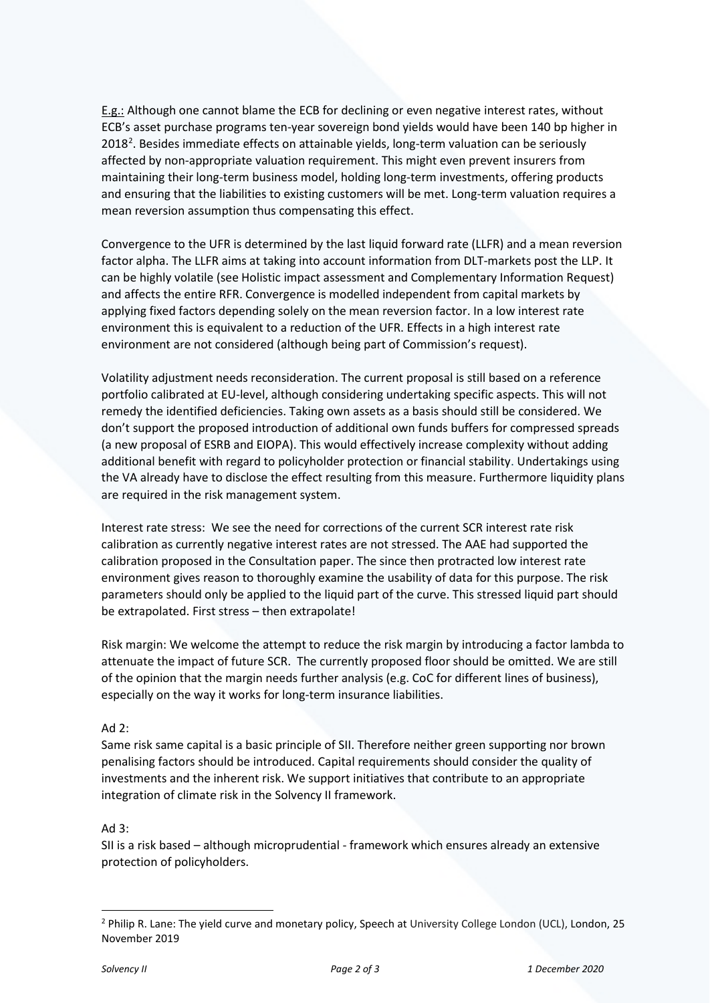E.g.: Although one cannot blame the ECB for declining or even negative interest rates, without ECB's asset purchase programs ten-year sovereign bond yields would have been 140 bp higher in [2](#page-1-0)018<sup>2</sup>. Besides immediate effects on attainable yields, long-term valuation can be seriously affected by non-appropriate valuation requirement. This might even prevent insurers from maintaining their long-term business model, holding long-term investments, offering products and ensuring that the liabilities to existing customers will be met. Long-term valuation requires a mean reversion assumption thus compensating this effect.

Convergence to the UFR is determined by the last liquid forward rate (LLFR) and a mean reversion factor alpha. The LLFR aims at taking into account information from DLT-markets post the LLP. It can be highly volatile (see Holistic impact assessment and Complementary Information Request) and affects the entire RFR. Convergence is modelled independent from capital markets by applying fixed factors depending solely on the mean reversion factor. In a low interest rate environment this is equivalent to a reduction of the UFR. Effects in a high interest rate environment are not considered (although being part of Commission's request).

Volatility adjustment needs reconsideration. The current proposal is still based on a reference portfolio calibrated at EU-level, although considering undertaking specific aspects. This will not remedy the identified deficiencies. Taking own assets as a basis should still be considered. We don't support the proposed introduction of additional own funds buffers for compressed spreads (a new proposal of ESRB and EIOPA). This would effectively increase complexity without adding additional benefit with regard to policyholder protection or financial stability. Undertakings using the VA already have to disclose the effect resulting from this measure. Furthermore liquidity plans are required in the risk management system.

Interest rate stress: We see the need for corrections of the current SCR interest rate risk calibration as currently negative interest rates are not stressed. The AAE had supported the calibration proposed in the Consultation paper. The since then protracted low interest rate environment gives reason to thoroughly examine the usability of data for this purpose. The risk parameters should only be applied to the liquid part of the curve. This stressed liquid part should be extrapolated. First stress – then extrapolate!

Risk margin: We welcome the attempt to reduce the risk margin by introducing a factor lambda to attenuate the impact of future SCR. The currently proposed floor should be omitted. We are still of the opinion that the margin needs further analysis (e.g. CoC for different lines of business), especially on the way it works for long-term insurance liabilities.

# Ad 2:

Same risk same capital is a basic principle of SII. Therefore neither green supporting nor brown penalising factors should be introduced. Capital requirements should consider the quality of investments and the inherent risk. We support initiatives that contribute to an appropriate integration of climate risk in the Solvency II framework.

# Ad 3:

SII is a risk based – although microprudential - framework which ensures already an extensive protection of policyholders.

<span id="page-1-0"></span><sup>&</sup>lt;sup>2</sup> Philip R. Lane: The yield curve and monetary policy, Speech at University College London (UCL), London, 25 November 2019